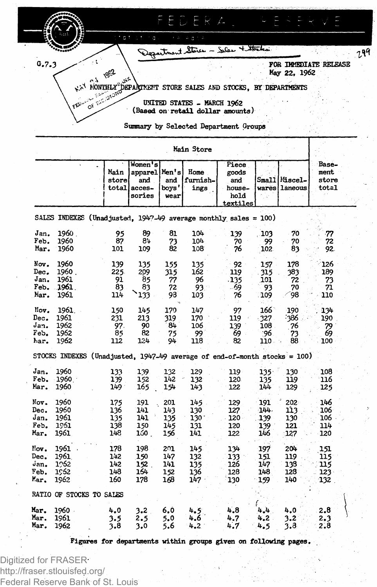

Summary by Selected Department Groups

|      |                          | Main<br>store<br>total | Women's<br>apparel <br>and<br>acces-<br>sories | Men's<br>and<br>boys'<br>wear | Home<br>furnish-<br>ings | Piece<br>goods<br>and<br>house-<br>hold<br>textiles                         |         | Small Miscel-<br>wares laneous | Base-<br>ment<br>store<br>total |
|------|--------------------------|------------------------|------------------------------------------------|-------------------------------|--------------------------|-----------------------------------------------------------------------------|---------|--------------------------------|---------------------------------|
|      |                          |                        |                                                |                               |                          | SALES INDEXES (Unadjusted, $1947-49$ average monthly sales = 100)           |         |                                |                                 |
| Jan. | 1960                     | 95                     | 89                                             | 81                            | 104                      | 139                                                                         | 103     | 70                             | -77                             |
| Feb. | 1960                     | 87                     | 84                                             | 73                            | 104                      | 70                                                                          | -99     | 70                             | 72                              |
| Mar. | 1960                     | 101                    | 109                                            | 82                            | 108                      | 76                                                                          | 102     | 83                             | 92                              |
| Nov. | 1960                     | 139                    | 135                                            | 155                           | 135                      | 92                                                                          | 157     | 178                            | 126                             |
| Dec. | 1960.                    | 225.                   | 209                                            | 315                           | 162                      | 119                                                                         | 315     | 383                            | 189                             |
| Jan. | 1961                     | 91                     | 85                                             | 77                            | 96                       | .135                                                                        | 101     | 72                             | 73                              |
| Feb. | 1961.                    | 83                     | 83                                             | 72                            | 93.                      | - 69                                                                        | 93      | 70                             | 71                              |
| Mar. | 1961                     | 114                    | 133                                            | 93                            | 103                      | 76                                                                          | 109     | 98                             | 110                             |
| Nov. | 1961.                    | 150                    | 145                                            | 170                           | 147                      | 97                                                                          | 166     | 190                            | 134                             |
| Dec. | 1961                     | 231                    | 213                                            | 319                           | 170                      | 119                                                                         | -327    | -386                           | 190                             |
| Jan. | 1962                     | 97.                    | 90                                             | 84                            | 106                      | 139                                                                         | 108     | 76                             | 79                              |
| Feb. | 1962                     | 85                     | 82                                             | 75                            | 99                       | 69                                                                          | :96     | 73                             | 69                              |
| har. | 1962                     | 112                    | 124                                            | 94                            | 118                      | 82                                                                          | 110.    | 88                             | 100                             |
|      |                          |                        |                                                |                               |                          | STOCKS INDEXES (Unadjusted, $1947-49$ average of end-of-month stocks = 100) |         |                                |                                 |
| Jan. | 1960                     | 133                    | 139                                            | 132                           | 129                      | 119                                                                         | $135 -$ | 130                            | 108                             |
| Feb. | 1960                     | 139                    | 152                                            | 142                           | 132                      | 120                                                                         | 135     | 119                            | 116                             |
| Mar. | 1960                     | 149.                   | 165                                            | 154                           | 143                      | 122                                                                         | 144     | 129                            | 125                             |
| Nov. | 1960                     | 175                    | 191                                            | 201                           | 145                      | 129                                                                         | 191     | 202                            | 146                             |
| Dec. | 1960                     | 136                    | 141                                            | 143                           | 130                      | 127                                                                         | 144.    | 113                            | 106                             |
| Jan. | 1961                     | 135                    | 141                                            | 135                           | 130                      | 120                                                                         | 139     | 130                            | 106                             |
| Feb. | 1961                     | 138                    | 150                                            | 145                           | 131                      | 120                                                                         | 139     | 121                            | 114                             |
| Mar. | 1961                     | 148                    | 160.                                           | 156                           | 141                      | 122                                                                         | 146     | 127                            | 120                             |
| Nov. | 1961                     | 178                    | 198                                            | 201                           | $145 -$                  | 134                                                                         | 197     | 204                            | 151                             |
| Dec. | 1961.                    | 142                    | 150                                            | 147                           | 132                      | $133 -$                                                                     | 151     | 119                            | 115                             |
| Jan. | 1962                     | 142                    | 152.                                           | 141                           | 135                      | 126                                                                         | 147     | 138                            | 115                             |
| Feb. | 1962                     | 148                    | 164                                            | 152                           | 136                      | 128                                                                         | 148     | 128                            | $123 -$                         |
| Mar. | 1962                     | 160                    | 178                                            | 168                           | 147                      | 130                                                                         | 159     | 140                            | 132                             |
|      | RATIO OF STOCKS TO SALES |                        |                                                |                               |                          |                                                                             |         |                                |                                 |
| Mar. | 1960.                    | 4.0                    | 3.2                                            | 6.0                           | 4.5                      | 4.8                                                                         | 4.4     | 4,0                            | 2.8                             |
| Mar. | 1961                     | 3.5                    | 2.5                                            | 5.0                           | 4.6                      | 4.7                                                                         | 4.2.    | 3,2                            | 2.3                             |
| Mar. | 1962                     | 3.8                    | 3.0                                            | 5.6                           | $4.2^{\circ}$            | 4.7                                                                         | 4.5     | 3,8                            | 2.8                             |
|      |                          |                        |                                                |                               |                          |                                                                             |         |                                |                                 |

Main Store

Figures for departments within groups given on following pages.

Digitized for FRASER http://fraser.stlouisfed.org/ Federal Reserve Bank of St. Louis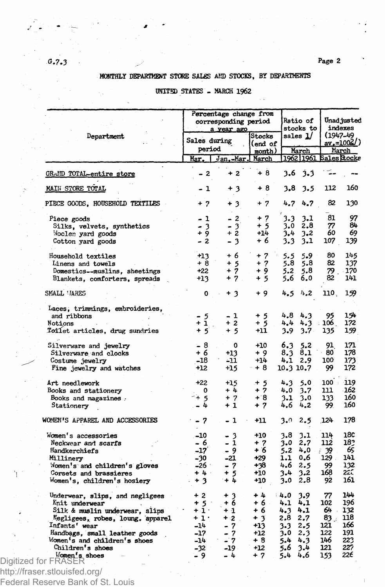# MONTHLY DEPARTMENT STORE SALES AND STOCKS, BY DEPARTMENTS

## UNITED STATES - MARCH 1962

|                                  | Percentage change from<br>corresponding period<br>a year ago |                 |                   | Ratio of<br>stocks to           | Unad justed<br>indexes |        |
|----------------------------------|--------------------------------------------------------------|-----------------|-------------------|---------------------------------|------------------------|--------|
| Department                       | Sales during<br>period                                       |                 | Stocks<br>(end of | sales 1/                        | (1947-49<br>av.=1002/) |        |
|                                  | Mar.                                                         | Jan.-Mar. March | month)            | March<br>1962 1961 Sales Stocke |                        | March  |
| GRAND TOTAL-entire store         | - 2                                                          | $+2$            | $+8$              | $3.6 \quad 3.3$                 |                        |        |
| MAIN STORE TOTAL                 | - 1                                                          | + 3             | + 8               | 3.8<br>3.5                      | 112                    | 160    |
| PIECE GOODS, HOUSEHOLD TEXTILES  | $+7$                                                         | $+3$            | $+7$              | 4.7<br>4.7                      | 82                     | 130    |
| Piece goods                      | - 1                                                          | $-2$            | $+7$              | 3.3<br>3,1                      | 81                     | 97     |
| Silks, velvets, synthetics       |                                                              | - 3             | $+5$              | 2.8<br>3.0                      | 77                     | 84     |
| Woolen yard goods                | $7^{3}_{4}$                                                  | $+2$            | $+14$             | 3.4<br>3.2                      | 60                     | 69     |
| Cotton yard goods                | - 2                                                          | $-3$            | + 6               | 3.3<br>3.1                      | 107                    | 139    |
| Household textiles               | $+13$                                                        | + 6             | $+7$              | 5.5<br>5.9                      | 80                     | 145    |
| Linens and towels                | + 8                                                          | + 5             | + 7               | 5.8<br>5.8                      | 82                     | 137    |
| Domestics--muslins, sheetings    | +22                                                          | 7<br>$\ddot{}$  | + 9               | 5.8<br>5.2                      | 79.                    | 170    |
| Blankets, comforters, spreads    | $+13$                                                        | $+7.$           | + 5               | 5.6<br>6.0                      | 82                     | 141    |
| SMALL VARES                      | o                                                            | + 3             | $+9$              | 4.5<br>4.2                      | 110.                   | 159    |
| Laces, trimmings, embroideries,  |                                                              |                 |                   |                                 |                        |        |
| and ribbons                      | - 5                                                          | - 1             | $+5$              | 4.8 4.3                         | 95                     | 154    |
| Notions                          | + 1                                                          | $+2$            | + 5               | 4.3<br>4.4                      | 106                    | 172    |
| Toilet articles, drug sundries   | $+5$                                                         | + 5             | +11               | 3.9<br>3.7 <sub>1</sub>         | 135                    | 159    |
| Silverware and jewelry           | - 8                                                          | ٥               | $+10$             | 6.3<br>5.2                      | 91                     | 171    |
| Silverware and clocks            | + 6                                                          | +13             | + 9               | 8.1<br>8.3                      | 80                     | 178    |
| Costume jewelry                  | $-18$                                                        | -11             | $+14$             | 4.12.9                          | 100                    | 173    |
| Fine jewelry and watches         | $+12$                                                        | +15             | + 8               | 10.3 10.7                       | 99.                    | 172    |
| Art needlework                   | $+22$                                                        | $+15$           | $+5$              | 4.3<br>5.0                      | $100$ :                | $-119$ |
| Books and stationery             | 0                                                            | $+4$            | $+7$              | 4.0<br>$3 - 7$                  | 111                    | 162    |
| Books and magazines.             | $+5$                                                         | $+7$            | $+8$              | 3.1<br>3.0                      | 133                    | 160    |
| Stationery                       | 4                                                            | $+1$            | + 7               | 4.6<br>4.2                      | 99.                    | 160    |
| WOMEN'S APPAREL AND ACCESSORIES  | - 7                                                          | - 1             | +11               | 2.5<br>3.0                      | 124                    | 178    |
| Women's accessories              | $-10$                                                        | - 3             | $+10$             | 3.1<br>3.8                      | 114                    | 18C    |
| Neckwear and scarfs              | - 6                                                          | - 1             | + 7               | 2,7<br>3.0                      | 112                    | 182    |
| Handkerchiefs                    | -17                                                          | - 9             | + 6               | $5.2 + 0.0$                     | 39                     | 65     |
| Millinery                        | $-30$                                                        | $-21$           | $+29$             | 1.1<br>0.6                      | 129                    | 141    |
| Momen's and children's gloves    | -26 :                                                        | - 7             | +38               | 4.6<br>2.5                      | 99                     | 132    |
| Corsets and brassieres           | $+4.1$                                                       | $+5$            | +10               | 3.2<br>3.4                      | 168                    | 2EC    |
| Women's, children's hosiery      | $+3$                                                         | $+4$            | $+10$             | 3.0<br>2.8                      | 92                     | 161    |
| Underwear, slips, and negligees  | $+2$                                                         | $+3$            | $+4$              | 4.0<br>3.9                      | 77                     | 144    |
| Knit underwear                   | $+5$                                                         | + 6             | +6.               | 4.1<br>4.1                      | 102                    | 196    |
| Silk & muslin underwear, slips   | $+1$ .                                                       | $+1$            | + 6               | 4.1<br>4.3                      | 64.                    | 132    |
| Negligees, robes, loung. apparel | $+1$                                                         | $+2$ .          | $+3$              | 2.8<br>2.7                      | 83 .                   | 118    |
| Infants' wear                    | -14                                                          | - 7             | +13               | 3.3<br>2.5                      | 121                    | 166    |
| Handbags, small leather goods    | -17                                                          | - 7             | $+12$             | 3.0<br>2.3                      | 122                    | 191    |
| Women's and children's shoes     | -14                                                          | - 7             | $+8$              | $5 - 4$<br>4.3                  | 146                    | 223    |
| Children's shoes                 | -32                                                          | -19 -           | $+12$             | 5.6<br>3.4                      | 121                    | 227    |
| Momen's shoes                    | - 9                                                          | - 4             | $+7$              | 5.4<br>4.6                      | 153                    | 226    |
| Digitized for FRASER             |                                                              |                 |                   |                                 |                        |        |

Federal Reserve Bank of St. Louis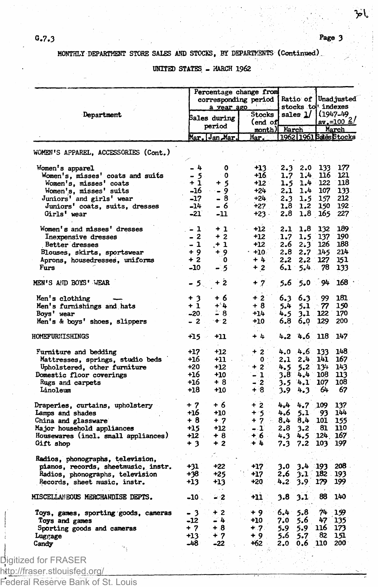باخز

# MONTHLY DEPARTMENT STORE SALES AND STOCKS, BY DEPARTMENTS (Continued)

UNITED STATES - MARCH 1962

|                                                                         | Percentage change from<br>corresponding period<br>a vear ago |              |                      |               | Ratio of      | Unadjusted<br>stocks to indexes |                                   |  |
|-------------------------------------------------------------------------|--------------------------------------------------------------|--------------|----------------------|---------------|---------------|---------------------------------|-----------------------------------|--|
| Department                                                              |                                                              | Bales during | <b>Stocks</b>        |               | sales $1/$    |                                 | (1947-49                          |  |
|                                                                         | period<br>Mar. Jan Mar.                                      |              | end of               |               |               | <u>av.=100 4</u>                |                                   |  |
|                                                                         |                                                              |              | month) March<br>Mar. |               |               |                                 | March<br>1962   1961 Bales Btocks |  |
| WOMEN'S APPAREL, ACCESSORIES (Cont.)                                    |                                                              |              |                      |               |               |                                 |                                   |  |
|                                                                         |                                                              |              |                      |               |               |                                 |                                   |  |
| Women's apparel                                                         | - 4                                                          | 0            | +13.                 | 2.3           | 2.0           | 133                             | 177                               |  |
| Women's, misses' coats and suits                                        | $\frac{1}{1}$                                                | 0            | +16                  | 1.7           | 1.4           | 116                             | 121<br>118                        |  |
| Women's, misses' coats                                                  | -16                                                          | -5<br>÷      | $+12$ :              | 1.5           | $1.4 -$       | 122                             |                                   |  |
| Women's, misses' suits                                                  |                                                              | - 9          | $+24$                | 2.1           | 1.4           | 107                             | 133                               |  |
| Juniors' and girls' wear                                                | $-17$                                                        | $-8$         | $+24$                | 2.3           | 1.5           | 157                             | 212                               |  |
| Juniors' coats, suits, dresses                                          | -14                                                          | - 6          | $+27$                | $1.8 -$       | $1.2^{\circ}$ | 150                             | 192                               |  |
| Girls' wear                                                             | -21                                                          | -11          | $+23.$               | 2.8           |               | $1.8 - 165$                     | 227                               |  |
| Women's and misses' dresses                                             | - 1                                                          | $+1$         | $+12$                | 2.1           | 1.8           | 132                             | 189                               |  |
| Inexpensive dresses                                                     | $-2$                                                         | $+2$         | +12                  | 1.7           | $1.5^{\circ}$ | 137                             | 190                               |  |
| Better dresses                                                          | - 1                                                          | $+1$         | +12                  | 2.6           | 2.3           | 126                             | 188                               |  |
| Blouses, skirts, sportswear                                             | + 9                                                          | + 9.         | $+10.$               | 2.8           | 2.7           | 145                             | 214                               |  |
| Aprons, housedresses, uniforms                                          | $+2$                                                         | 0            | + 4                  | 2.2           | 2.2           | 127                             | 151                               |  |
| Furs                                                                    | -10                                                          | - 5          | $+2$                 | $6.1^{\circ}$ | 5.4           | 78                              | 133                               |  |
| MEN'S AND BOYS' WEAR                                                    | - 5.                                                         | + 2          | $+7$                 | 5.6           | 5.0           | 94                              | 168                               |  |
| Men's clothing                                                          | $+3$                                                         | + 6          | $+2$                 | 6.3           | 6.3           | 99                              | 181                               |  |
| Men's furnishings and hats                                              | $+1$                                                         | $+4$         | $+8$                 | 5.4           | 5.1           | 77                              | 150                               |  |
| Boys' wear                                                              | -20.                                                         | - 8          | $+14$                | 4.5           | 3,1           | 122                             | 170                               |  |
| Men's & boys' shoes, slippers                                           | - 2                                                          | $+2$         | +10                  | 6.8           | 6.0           | 129                             | 200                               |  |
| HOMEFURNISHINGS                                                         | +15                                                          | +11          | + 4                  | 4.2           | 4.6           | 118                             | 147                               |  |
| Furniture and bedding                                                   | +17                                                          | +12          | $+2$                 | 4.0           | 4.6           | 133                             | 148                               |  |
| Mattresses, springs, studio beds                                        | +16                                                          | +11 -        | O                    | 2.1           | 2.4           | 141.                            | 167                               |  |
| Upholstered, other furniture                                            | +20                                                          | +12          | $+2$                 | 4.5           | 5,2           | 134                             | 143                               |  |
| Domestic floor coverings                                                | +16                                                          | +10          | - 1                  | 3.8           | 4,4           | 108                             | 113                               |  |
| Rugs and carpets                                                        | +16                                                          | $+8$         | `2                   | 3.5           | 4.1           | 107                             | 108                               |  |
| Linoleum                                                                | $+18$                                                        | $+10$        | + 8                  | 3.9           | 4.3           | 64                              | 67                                |  |
| Draperies, curtains, upholstery                                         | $+7$                                                         | + 6          | $+2$                 | $4 - 4$       | 4,7           | 109                             | 137                               |  |
| Lamps and shades                                                        | +16                                                          | +10          | $+3$                 | 4,6           | 5.1           | 93                              | 144                               |  |
| China and glassware                                                     | + 8                                                          | $+7$         | $+7$                 | 8.4           | 8.4           | 101                             | 155                               |  |
| Major household appliances                                              | +15                                                          | $+12$        | - 1                  | 2.8           | $3 - 2$       | -81                             | 110                               |  |
| Housewares (incl. small appliances)                                     | $+12$                                                        | + 8          | $+6.$                | 4.3           | 4.5           | $124 -$                         | 167                               |  |
| Gift shop                                                               | $+3$                                                         | $+2$         | +4                   | 7.3           | 7.2           | 103                             | 197                               |  |
|                                                                         |                                                              |              |                      |               |               |                                 |                                   |  |
| Radios, phonographs, television,<br>pianos, records, sheetmusic, instr. | $+31$                                                        | $+22$        | $+17$                | 3.0           | 3.4           | - 193                           | 208                               |  |
|                                                                         | +38                                                          | +25          | +17                  | 2.6           | 3.1           | 182                             | 193                               |  |
| Radios, phonographs, television<br>Records, sheet music, instr.         | +13                                                          | +13          | +20                  | 4.2           | 3.9.          | 179                             | 199                               |  |
|                                                                         |                                                              |              |                      |               |               |                                 |                                   |  |
| MISCELLANEOUS MERCHANDISE DEPTS.                                        | $-10$ .                                                      | - 2          | $+11$                | 3.8           | 3.1           | 88                              | 140                               |  |
| Toys, games, sporting goods, cameras                                    | - 3                                                          | $+2$         | $+9$                 | 6.4.          | 5.8           | 74                              | 19                                |  |
| Toys and games                                                          | -12                                                          | - 4          | $+10$                | 7.0           | 5.6           | 47                              | 135                               |  |
| Sporting goods and cameras                                              | + 7                                                          | + 8          | +∷7∶                 | 5.9           | 5.9           | 116                             | 173                               |  |
| Luggage                                                                 | +13                                                          | + 7          | + 9                  | 5.6           | 5.7           | 82                              | 151                               |  |
| Candy                                                                   | -48                                                          | -22          | +62                  | 2.0           | 0.6           | 110                             | 200                               |  |

Digitized for FRASER http://fraser.stlouisfed.org/

Federal Reserve Bank of St. Louis